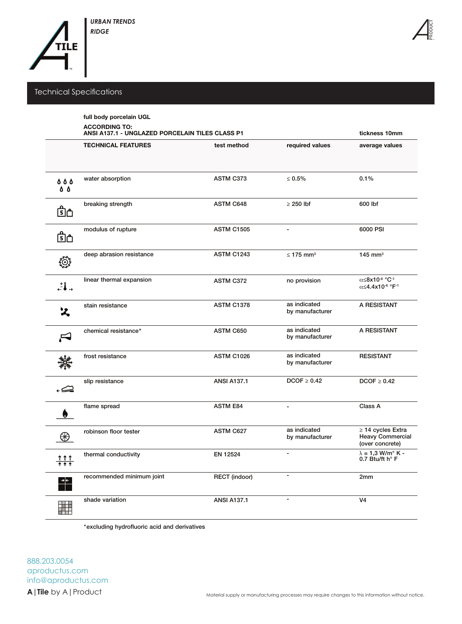

## Technical Specifications

|                          | full body porcelain UGL<br><b>ACCORDING TO:</b><br>ANSI A137.1 - UNGLAZED PORCELAIN TILES CLASS P1 | tickness 10mm        |                                 |                                                                                          |  |
|--------------------------|----------------------------------------------------------------------------------------------------|----------------------|---------------------------------|------------------------------------------------------------------------------------------|--|
|                          | <b>TECHNICAL FEATURES</b>                                                                          | test method          | required values                 | average values                                                                           |  |
| 000<br><b>8 &amp;</b>    | water absorption                                                                                   | ASTM C373            | $\leq 0.5\%$                    | 0.1%                                                                                     |  |
| ௹௹                       | breaking strength                                                                                  | <b>ASTM C648</b>     | $\geq$ 250 lbf                  | 600 lbf                                                                                  |  |
| ௹௺                       | modulus of rupture                                                                                 | <b>ASTM C1505</b>    | $\overline{a}$                  | 6000 PSI                                                                                 |  |
| ্রি                      | deep abrasion resistance                                                                           | <b>ASTM C1243</b>    | $\leq$ 175 mm <sup>3</sup>      | $145$ mm <sup>3</sup>                                                                    |  |
| $\mathbf{J}$ .           | linear thermal expansion                                                                           | <b>ASTM C372</b>     | no provision                    | α≤8x10 <sup>-6</sup> °C <sup>-1</sup><br>$\alpha$ <4.4x10 <sup>-6</sup> °F <sup>-1</sup> |  |
| ス                        | stain resistance                                                                                   | <b>ASTM C1378</b>    | as indicated<br>by manufacturer | A RESISTANT                                                                              |  |
|                          | chemical resistance*                                                                               | ASTM C650            | as indicated<br>by manufacturer | A RESISTANT                                                                              |  |
|                          | frost resistance                                                                                   | ASTM C1026           | as indicated<br>by manufacturer | <b>RESISTANT</b>                                                                         |  |
| ڪء                       | slip resistance                                                                                    | <b>ANSI A137.1</b>   | $DCOF \geq 0.42$                | $DCOF \geq 0.42$                                                                         |  |
|                          | flame spread                                                                                       | <b>ASTM E84</b>      | ä,                              | Class A                                                                                  |  |
| ⊛                        | robinson floor tester                                                                              | ASTM C627            | as indicated<br>by manufacturer | $\geq$ 14 cycles Extra<br><b>Heavy Commercial</b><br>(over concrete)                     |  |
| <u>ተተተ</u><br>ተተተ        | thermal conductivity                                                                               | EN 12524             | -                               | $\lambda = 1.3$ W/m $\degree$ K -<br>0.7 Btu/ft h° F                                     |  |
| $\rightarrow \leftarrow$ | recommended minimum joint                                                                          | <b>RECT</b> (indoor) |                                 | 2mm                                                                                      |  |
| Ħ                        | shade variation                                                                                    | <b>ANSI A137.1</b>   | ä,                              | V <sub>4</sub>                                                                           |  |

\*excluding hydrofluoric acid and derivatives

**A|Tile** by A|Product aproductus.com info@aproductus.com 888.203.0054